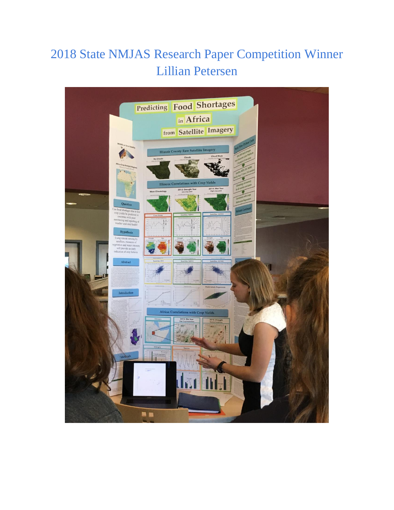## 2018 State NMJAS Research Paper Competition Winner Lillian Petersen